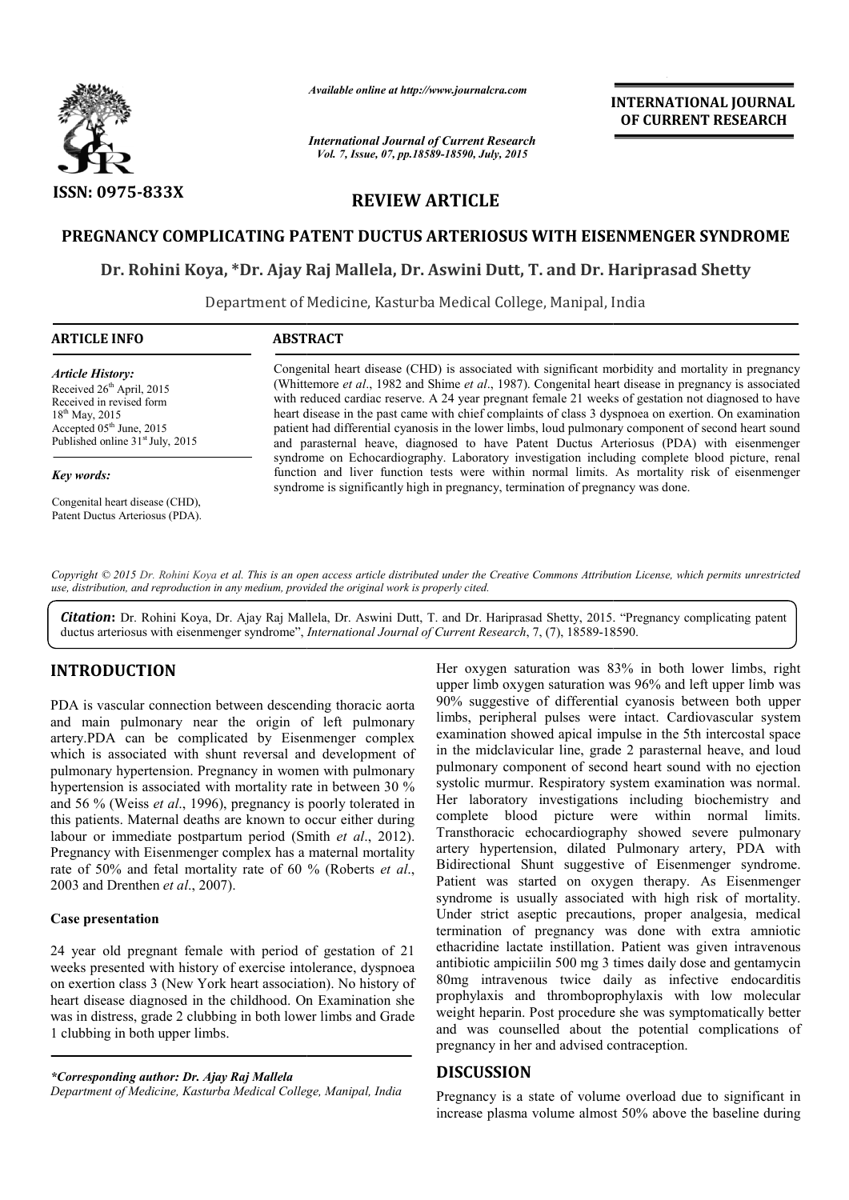

*Available online at http://www.journalcra.com*

*International Journal of Current Research Vol. 7, Issue, 07, pp.18589-18590, July, 2015*

**INTERNATIONAL INTERNATIONAL JOURNAL OF CURRENT RESEARCH** 

# **REVIEW ARTICLE**

### **PREGNANCY COMPLICATING PATENT DUCTUS ARTERIOSUS WITH EISENMENGER SYNDROME**

## **Dr. Rohini Koya, \*Dr. Ajay Raj Mallela, Dr. Aswini Dutt, T. and Dr. Hariprasad Shetty**

Department of Medicine, Kasturba Medical College, Manipal, India ,

| <b>ARTICLE INFO</b>                                                                                                                                                    | <b>ABSTRACT</b>                                                                                                                                                                                                                                                                                                                                                                                                                                                                                                                                                                                                                |
|------------------------------------------------------------------------------------------------------------------------------------------------------------------------|--------------------------------------------------------------------------------------------------------------------------------------------------------------------------------------------------------------------------------------------------------------------------------------------------------------------------------------------------------------------------------------------------------------------------------------------------------------------------------------------------------------------------------------------------------------------------------------------------------------------------------|
| Article History:<br>Received $26th$ April, 2015<br>Received in revised form<br>$18^{th}$ May, 2015<br>Accepted $05th$ June, 2015<br>Published online $31st$ July, 2015 | Congenital heart disease (CHD) is associated with significant morbidity and mortality in pregnancy<br>(Whittemore et al., 1982 and Shime et al., 1987). Congenital heart disease in pregnancy is associated<br>with reduced cardiac reserve. A 24 year pregnant female 21 weeks of gestation not diagnosed to have<br>heart disease in the past came with chief complaints of class 3 dyspnoea on exertion. On examination<br>patient had differential cyanosis in the lower limbs, loud pulmonary component of second heart sound<br>and parasternal heave, diagnosed to have Patent Ductus Arteriosus (PDA) with eisenmenger |
| Key words:                                                                                                                                                             | syndrome on Echocardiography. Laboratory investigation including complete blood picture, renal<br>function and liver function tests were within normal limits. As mortality risk of eisenmenger                                                                                                                                                                                                                                                                                                                                                                                                                                |

syndrome is significantly high in pregnancy, termination of pregnancy was done.

Congenital heart disease (CHD), Patent Ductus Arteriosus (PDA).

Copyright © 2015 Dr. Rohini Koya et al. This is an open access article distributed under the Creative Commons Attribution License, which permits unrestrictea *use, distribution, and reproduction in any medium, provided the original work is properly cited.*

Citation: Dr. Rohini Koya, Dr. Ajay Raj Mallela, Dr. Aswini Dutt, T. and Dr. Hariprasad Shetty, 2015. "Pregnancy complicating patent ductus arteriosus with eisenmenger syndrome", *International Journal of Current Research*, 7, (7), 18589-18590.

## **INTRODUCTION**

PDA is vascular connection between descending thoracic aorta and main pulmonary near the origin of left pulmonary artery.PDA can be complicated by Eisenmenger complex which is associated with shunt reversal and development of pulmonary hypertension. Pregnancy in women with pulmonary hypertension is associated with mortality rate in between 30 % and 56 % (Weiss *et al*., 1996), pregnancy is poorly tolerated in this patients. Maternal deaths are known to occur either during pulmonary hypertension. Pregnancy in women with pulmonary<br>hypertension is associated with mortality rate in between 30 %<br>and 56 % (Weiss *et al.*, 1996), pregnancy is poorly tolerated in<br>this patients. Maternal deaths are Pregnancy with Eisenmenger complex has a maternal mortality rate of 50% and fetal mortality rate of 60 % (Roberts *et al*., 2003 and Drenthen *et al*., 2007).

#### **Case presentation**

24 year old pregnant female with period of gestation of 21 weeks presented with history of exercise intolerance, dyspnoea on exertion class 3 (New York heart association). No history of heart disease diagnosed in the childhood. On Examination she was in distress, grade 2 clubbing in both lower limbs and Grade 1 clubbing in both upper limbs.

*\*Corresponding author: Dr. Ajay Raj Mallela*

*Department of Medicine, Kasturba Medical College, Manipal, India*

Her oxygen saturation was 83% in both lower limbs, right Her oxygen saturation was 83% in both lower limbs, right upper limb oxygen saturation was 96% and left upper limb was 90% suggestive of differential cyanosis between both upper limbs, peripheral pulses were intact. Cardiovascular system examination showed apical impulse in the 5th intercostal space in the midclavicular line, grade 2 parasternal heave, and loud pulmonary component of second heart sound with no ejection systolic murmur. Respiratory system examination was normal. Her laboratory investigations including biochemistry and complete blood picture were within normal limits. examination showed apical impulse in the 5th intercostal space<br>in the midclavicular line, grade 2 parasternal heave, and loud<br>pulmonary component of second heart sound with no ejection<br>systolic murmur. Respiratory system e artery hypertension, dilated Pulmonary artery, PDA with artery hypertension, dilated Pulmonary artery, PDA with Bidirectional Shunt suggestive of Eisenmenger syndrome. Patient was started on oxygen therapy. As Eisenmenger syndrome is usually associated with high risk of mortality. Under strict aseptic precautions, proper analgesia, medical termination of pregnancy was done with extra amniotic ethacridine lactate instillation. Patient was given intravenous antibiotic ampiciilin 500 mg 3 times daily dose and gentamycin 80mg intravenous twice daily as infective endocarditis prophylaxis and thromboprophylaxis with low molecular weight heparin. Post procedure she was symptomatically better and was counselled about the potential complications of pregnancy in her and advised contraception. **INTERNATIONAL JOURNAL FOR CONFIGURE CONFIGURATE CONFIGURE CONFIGURE CONFIGURE CONFIGURE CONFIGURE CONFIGURE CONFIGURE CONFIGURE CONFIGURE CONFIGURE CONFIGURE CONFIGURE CONFIGURE CONFIGURE CONFIGURE CONFIGURE CONFIGURE CO** 

## **DISCUSSION**

Pregnancy is a state of volume overload due to significant in increase plasma volume almost 50% above the baseline during